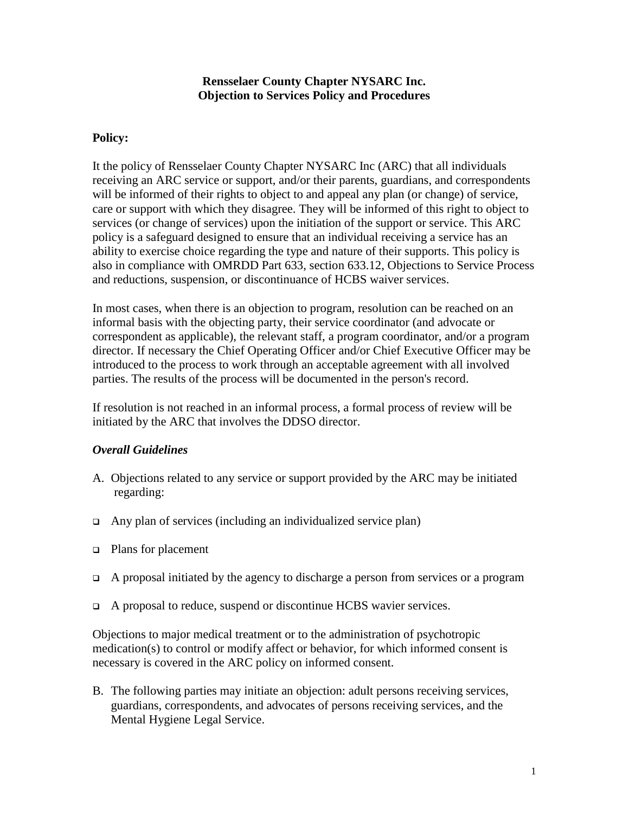## **Rensselaer County Chapter NYSARC Inc. Objection to Services Policy and Procedures**

# **Policy:**

It the policy of Rensselaer County Chapter NYSARC Inc (ARC) that all individuals receiving an ARC service or support, and/or their parents, guardians, and correspondents will be informed of their rights to object to and appeal any plan (or change) of service, care or support with which they disagree. They will be informed of this right to object to services (or change of services) upon the initiation of the support or service. This ARC policy is a safeguard designed to ensure that an individual receiving a service has an ability to exercise choice regarding the type and nature of their supports. This policy is also in compliance with OMRDD Part 633, section 633.12, Objections to Service Process and reductions, suspension, or discontinuance of HCBS waiver services.

In most cases, when there is an objection to program, resolution can be reached on an informal basis with the objecting party, their service coordinator (and advocate or correspondent as applicable), the relevant staff, a program coordinator, and/or a program director. If necessary the Chief Operating Officer and/or Chief Executive Officer may be introduced to the process to work through an acceptable agreement with all involved parties. The results of the process will be documented in the person's record.

If resolution is not reached in an informal process, a formal process of review will be initiated by the ARC that involves the DDSO director.

## *Overall Guidelines*

- A. Objections related to any service or support provided by the ARC may be initiated regarding:
- $\Box$  Any plan of services (including an individualized service plan)
- Plans for placement
- $\Box$  A proposal initiated by the agency to discharge a person from services or a program
- A proposal to reduce, suspend or discontinue HCBS wavier services.

Objections to major medical treatment or to the administration of psychotropic medication(s) to control or modify affect or behavior, for which informed consent is necessary is covered in the ARC policy on informed consent.

B. The following parties may initiate an objection: adult persons receiving services, guardians, correspondents, and advocates of persons receiving services, and the Mental Hygiene Legal Service.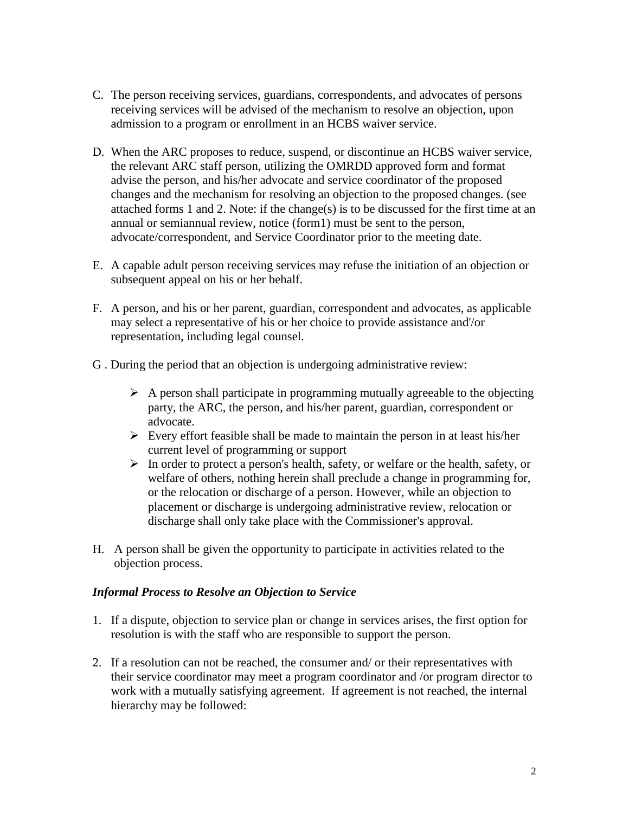- C. The person receiving services, guardians, correspondents, and advocates of persons receiving services will be advised of the mechanism to resolve an objection, upon admission to a program or enrollment in an HCBS waiver service.
- D. When the ARC proposes to reduce, suspend, or discontinue an HCBS waiver service, the relevant ARC staff person, utilizing the OMRDD approved form and format advise the person, and his/her advocate and service coordinator of the proposed changes and the mechanism for resolving an objection to the proposed changes. (see attached forms 1 and 2. Note: if the change(s) is to be discussed for the first time at an annual or semiannual review, notice (form1) must be sent to the person, advocate/correspondent, and Service Coordinator prior to the meeting date.
- E. A capable adult person receiving services may refuse the initiation of an objection or subsequent appeal on his or her behalf.
- F. A person, and his or her parent, guardian, correspondent and advocates, as applicable may select a representative of his or her choice to provide assistance and'/or representation, including legal counsel.
- G . During the period that an objection is undergoing administrative review:
	- $\triangleright$  A person shall participate in programming mutually agreeable to the objecting party, the ARC, the person, and his/her parent, guardian, correspondent or advocate.
	- $\triangleright$  Every effort feasible shall be made to maintain the person in at least his/her current level of programming or support
	- In order to protect a person's health, safety, or welfare or the health, safety, or welfare of others, nothing herein shall preclude a change in programming for, or the relocation or discharge of a person. However, while an objection to placement or discharge is undergoing administrative review, relocation or discharge shall only take place with the Commissioner's approval.
- H. A person shall be given the opportunity to participate in activities related to the objection process.

### *Informal Process to Resolve an Objection to Service*

- 1. If a dispute, objection to service plan or change in services arises, the first option for resolution is with the staff who are responsible to support the person.
- 2. If a resolution can not be reached, the consumer and/ or their representatives with their service coordinator may meet a program coordinator and /or program director to work with a mutually satisfying agreement. If agreement is not reached, the internal hierarchy may be followed: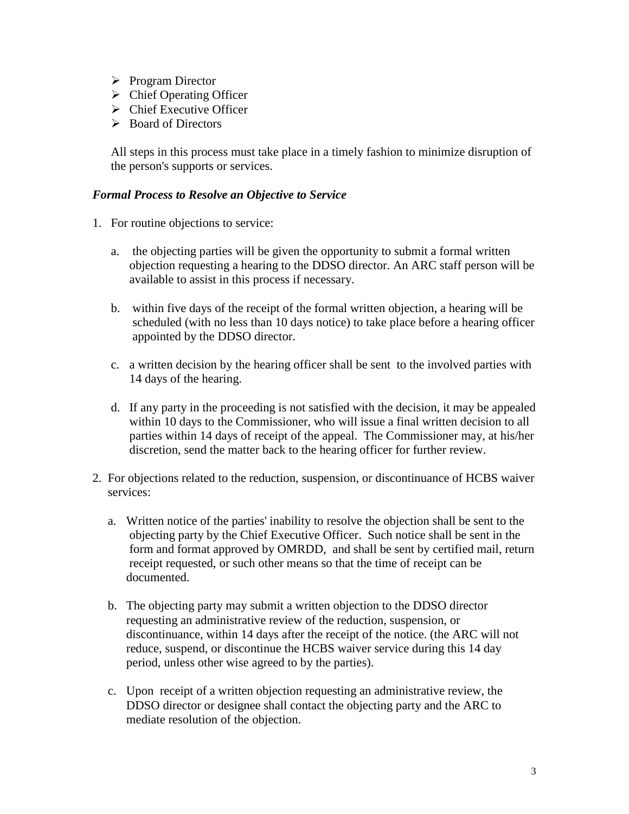- $\triangleright$  Program Director
- $\triangleright$  Chief Operating Officer
- $\triangleright$  Chief Executive Officer
- Board of Directors

All steps in this process must take place in a timely fashion to minimize disruption of the person's supports or services.

#### *Formal Process to Resolve an Objective to Service*

- 1. For routine objections to service:
	- a. the objecting parties will be given the opportunity to submit a formal written objection requesting a hearing to the DDSO director. An ARC staff person will be available to assist in this process if necessary.
	- b. within five days of the receipt of the formal written objection, a hearing will be scheduled (with no less than 10 days notice) to take place before a hearing officer appointed by the DDSO director.
	- c. a written decision by the hearing officer shall be sent to the involved parties with 14 days of the hearing.
	- d. If any party in the proceeding is not satisfied with the decision, it may be appealed within 10 days to the Commissioner, who will issue a final written decision to all parties within 14 days of receipt of the appeal. The Commissioner may, at his/her discretion, send the matter back to the hearing officer for further review.
- 2. For objections related to the reduction, suspension, or discontinuance of HCBS waiver services:
	- a. Written notice of the parties' inability to resolve the objection shall be sent to the objecting party by the Chief Executive Officer. Such notice shall be sent in the form and format approved by OMRDD, and shall be sent by certified mail, return receipt requested, or such other means so that the time of receipt can be documented.
	- b. The objecting party may submit a written objection to the DDSO director requesting an administrative review of the reduction, suspension, or discontinuance, within 14 days after the receipt of the notice. (the ARC will not reduce, suspend, or discontinue the HCBS waiver service during this 14 day period, unless other wise agreed to by the parties).
	- c. Upon receipt of a written objection requesting an administrative review, the DDSO director or designee shall contact the objecting party and the ARC to mediate resolution of the objection.